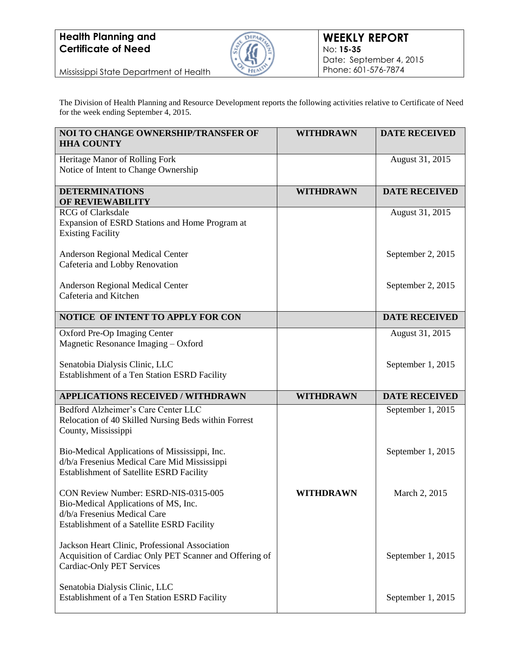## **Health Planning and Certificate of Need**



Mississippi State Department of Health

The Division of Health Planning and Resource Development reports the following activities relative to Certificate of Need for the week ending September 4, 2015.

| <b>NOI TO CHANGE OWNERSHIP/TRANSFER OF</b><br><b>HHA COUNTY</b>                                                                                            | <b>WITHDRAWN</b> | <b>DATE RECEIVED</b> |
|------------------------------------------------------------------------------------------------------------------------------------------------------------|------------------|----------------------|
| Heritage Manor of Rolling Fork<br>Notice of Intent to Change Ownership                                                                                     |                  | August 31, 2015      |
| <b>DETERMINATIONS</b><br>OF REVIEWABILITY                                                                                                                  | <b>WITHDRAWN</b> | <b>DATE RECEIVED</b> |
| <b>RCG</b> of Clarksdale<br>Expansion of ESRD Stations and Home Program at<br><b>Existing Facility</b>                                                     |                  | August 31, 2015      |
| <b>Anderson Regional Medical Center</b><br>Cafeteria and Lobby Renovation                                                                                  |                  | September 2, 2015    |
| Anderson Regional Medical Center<br>Cafeteria and Kitchen                                                                                                  |                  | September 2, 2015    |
| NOTICE OF INTENT TO APPLY FOR CON                                                                                                                          |                  | <b>DATE RECEIVED</b> |
| Oxford Pre-Op Imaging Center<br>Magnetic Resonance Imaging - Oxford                                                                                        |                  | August 31, 2015      |
| Senatobia Dialysis Clinic, LLC<br>Establishment of a Ten Station ESRD Facility                                                                             |                  | September 1, 2015    |
| <b>APPLICATIONS RECEIVED / WITHDRAWN</b>                                                                                                                   | <b>WITHDRAWN</b> | <b>DATE RECEIVED</b> |
| Bedford Alzheimer's Care Center LLC<br>Relocation of 40 Skilled Nursing Beds within Forrest<br>County, Mississippi                                         |                  | September 1, 2015    |
| Bio-Medical Applications of Mississippi, Inc.<br>d/b/a Fresenius Medical Care Mid Mississippi<br>Establishment of Satellite ESRD Facility                  |                  | September 1, 2015    |
| CON Review Number: ESRD-NIS-0315-005<br>Bio-Medical Applications of MS, Inc.<br>d/b/a Fresenius Medical Care<br>Establishment of a Satellite ESRD Facility | WITHDRAWN        | March 2, 2015        |
| Jackson Heart Clinic, Professional Association<br>Acquisition of Cardiac Only PET Scanner and Offering of<br><b>Cardiac-Only PET Services</b>              |                  | September 1, 2015    |
| Senatobia Dialysis Clinic, LLC<br>Establishment of a Ten Station ESRD Facility                                                                             |                  | September 1, 2015    |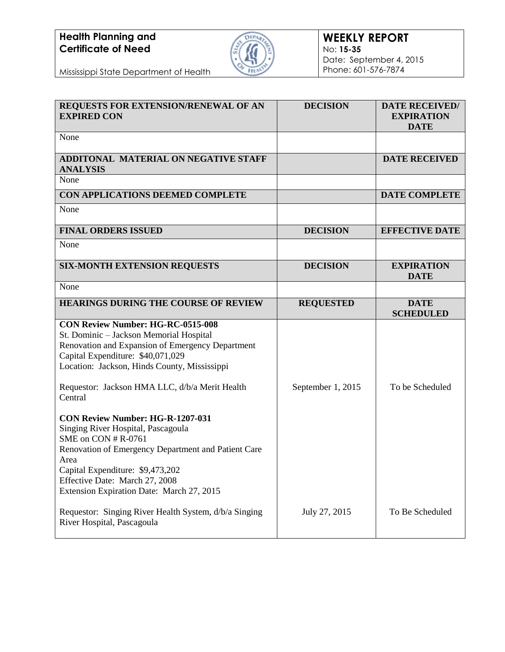## **Health Planning and Certificate of Need**



| REQUESTS FOR EXTENSION/RENEWAL OF AN<br><b>EXPIRED CON</b>                                                                                                                                                                                                                             | <b>DECISION</b>   | <b>DATE RECEIVED/</b><br><b>EXPIRATION</b><br><b>DATE</b> |
|----------------------------------------------------------------------------------------------------------------------------------------------------------------------------------------------------------------------------------------------------------------------------------------|-------------------|-----------------------------------------------------------|
| None                                                                                                                                                                                                                                                                                   |                   |                                                           |
| ADDITONAL MATERIAL ON NEGATIVE STAFF<br><b>ANALYSIS</b>                                                                                                                                                                                                                                |                   | <b>DATE RECEIVED</b>                                      |
| None                                                                                                                                                                                                                                                                                   |                   |                                                           |
| CON APPLICATIONS DEEMED COMPLETE                                                                                                                                                                                                                                                       |                   | <b>DATE COMPLETE</b>                                      |
| None                                                                                                                                                                                                                                                                                   |                   |                                                           |
| <b>FINAL ORDERS ISSUED</b>                                                                                                                                                                                                                                                             | <b>DECISION</b>   | <b>EFFECTIVE DATE</b>                                     |
| None                                                                                                                                                                                                                                                                                   |                   |                                                           |
| <b>SIX-MONTH EXTENSION REQUESTS</b>                                                                                                                                                                                                                                                    | <b>DECISION</b>   | <b>EXPIRATION</b><br><b>DATE</b>                          |
| None                                                                                                                                                                                                                                                                                   |                   |                                                           |
| <b>HEARINGS DURING THE COURSE OF REVIEW</b>                                                                                                                                                                                                                                            | <b>REQUESTED</b>  | <b>DATE</b><br><b>SCHEDULED</b>                           |
| <b>CON Review Number: HG-RC-0515-008</b><br>St. Dominic - Jackson Memorial Hospital<br>Renovation and Expansion of Emergency Department<br>Capital Expenditure: \$40,071,029<br>Location: Jackson, Hinds County, Mississippi                                                           |                   |                                                           |
| Requestor: Jackson HMA LLC, d/b/a Merit Health<br>Central                                                                                                                                                                                                                              | September 1, 2015 | To be Scheduled                                           |
| <b>CON Review Number: HG-R-1207-031</b><br>Singing River Hospital, Pascagoula<br>SME on CON # R-0761<br>Renovation of Emergency Department and Patient Care<br>Area<br>Capital Expenditure: \$9,473,202<br>Effective Date: March 27, 2008<br>Extension Expiration Date: March 27, 2015 |                   |                                                           |
| Requestor: Singing River Health System, d/b/a Singing<br>River Hospital, Pascagoula                                                                                                                                                                                                    | July 27, 2015     | To Be Scheduled                                           |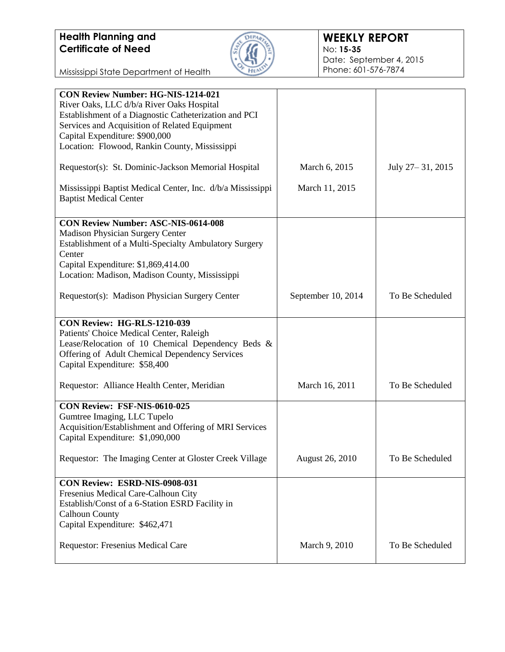

| <b>CON Review Number: HG-NIS-1214-021</b><br>River Oaks, LLC d/b/a River Oaks Hospital<br>Establishment of a Diagnostic Catheterization and PCI<br>Services and Acquisition of Related Equipment<br>Capital Expenditure: \$900,000<br>Location: Flowood, Rankin County, Mississippi |                    |                    |
|-------------------------------------------------------------------------------------------------------------------------------------------------------------------------------------------------------------------------------------------------------------------------------------|--------------------|--------------------|
| Requestor(s): St. Dominic-Jackson Memorial Hospital                                                                                                                                                                                                                                 | March 6, 2015      | July 27 – 31, 2015 |
| Mississippi Baptist Medical Center, Inc. d/b/a Mississippi<br><b>Baptist Medical Center</b>                                                                                                                                                                                         | March 11, 2015     |                    |
| <b>CON Review Number: ASC-NIS-0614-008</b><br><b>Madison Physician Surgery Center</b><br>Establishment of a Multi-Specialty Ambulatory Surgery<br>Center<br>Capital Expenditure: \$1,869,414.00<br>Location: Madison, Madison County, Mississippi                                   |                    |                    |
| Requestor(s): Madison Physician Surgery Center                                                                                                                                                                                                                                      | September 10, 2014 | To Be Scheduled    |
| CON Review: HG-RLS-1210-039<br>Patients' Choice Medical Center, Raleigh<br>Lease/Relocation of 10 Chemical Dependency Beds &<br>Offering of Adult Chemical Dependency Services<br>Capital Expenditure: \$58,400                                                                     |                    |                    |
| Requestor: Alliance Health Center, Meridian                                                                                                                                                                                                                                         | March 16, 2011     | To Be Scheduled    |
| CON Review: FSF-NIS-0610-025<br>Gumtree Imaging, LLC Tupelo<br>Acquisition/Establishment and Offering of MRI Services<br>Capital Expenditure: \$1,090,000<br>Requestor: The Imaging Center at Gloster Creek Village                                                                 | August 26, 2010    | To Be Scheduled    |
|                                                                                                                                                                                                                                                                                     |                    |                    |
| CON Review: ESRD-NIS-0908-031<br>Fresenius Medical Care-Calhoun City<br>Establish/Const of a 6-Station ESRD Facility in<br><b>Calhoun County</b><br>Capital Expenditure: \$462,471                                                                                                  |                    |                    |
| Requestor: Fresenius Medical Care                                                                                                                                                                                                                                                   | March 9, 2010      | To Be Scheduled    |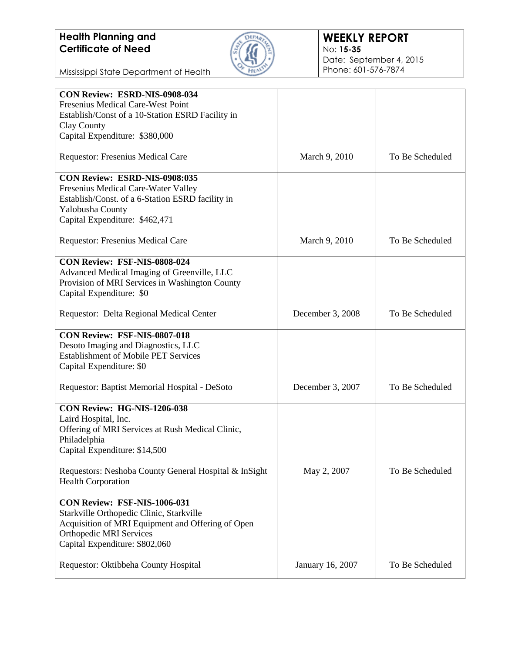## **Health Planning and Certificate of Need**



## **WEEKLY REPORT** No: **15-35** Date: September 4, 2015 Phone: 601-576-7874

| CON Review: ESRD-NIS-0908-034                         |                  |                 |
|-------------------------------------------------------|------------------|-----------------|
| Fresenius Medical Care-West Point                     |                  |                 |
| Establish/Const of a 10-Station ESRD Facility in      |                  |                 |
| Clay County                                           |                  |                 |
| Capital Expenditure: \$380,000                        |                  |                 |
| Requestor: Fresenius Medical Care                     | March 9, 2010    | To Be Scheduled |
| CON Review: ESRD-NIS-0908:035                         |                  |                 |
| Fresenius Medical Care-Water Valley                   |                  |                 |
| Establish/Const. of a 6-Station ESRD facility in      |                  |                 |
| Yalobusha County                                      |                  |                 |
| Capital Expenditure: \$462,471                        |                  |                 |
| Requestor: Fresenius Medical Care                     | March 9, 2010    | To Be Scheduled |
| <b>CON Review: FSF-NIS-0808-024</b>                   |                  |                 |
| Advanced Medical Imaging of Greenville, LLC           |                  |                 |
| Provision of MRI Services in Washington County        |                  |                 |
| Capital Expenditure: \$0                              |                  |                 |
| Requestor: Delta Regional Medical Center              | December 3, 2008 | To Be Scheduled |
| CON Review: FSF-NIS-0807-018                          |                  |                 |
| Desoto Imaging and Diagnostics, LLC                   |                  |                 |
| <b>Establishment of Mobile PET Services</b>           |                  |                 |
| Capital Expenditure: \$0                              |                  |                 |
| Requestor: Baptist Memorial Hospital - DeSoto         | December 3, 2007 | To Be Scheduled |
| CON Review: HG-NIS-1206-038                           |                  |                 |
| Laird Hospital, Inc.                                  |                  |                 |
| Offering of MRI Services at Rush Medical Clinic,      |                  |                 |
| Philadelphia                                          |                  |                 |
| Capital Expenditure: \$14,500                         |                  |                 |
| Requestors: Neshoba County General Hospital & InSight | May 2, 2007      | To Be Scheduled |
| <b>Health Corporation</b>                             |                  |                 |
| CON Review: FSF-NIS-1006-031                          |                  |                 |
| Starkville Orthopedic Clinic, Starkville              |                  |                 |
| Acquisition of MRI Equipment and Offering of Open     |                  |                 |
| <b>Orthopedic MRI Services</b>                        |                  |                 |
| Capital Expenditure: \$802,060                        |                  |                 |
|                                                       |                  | To Be Scheduled |